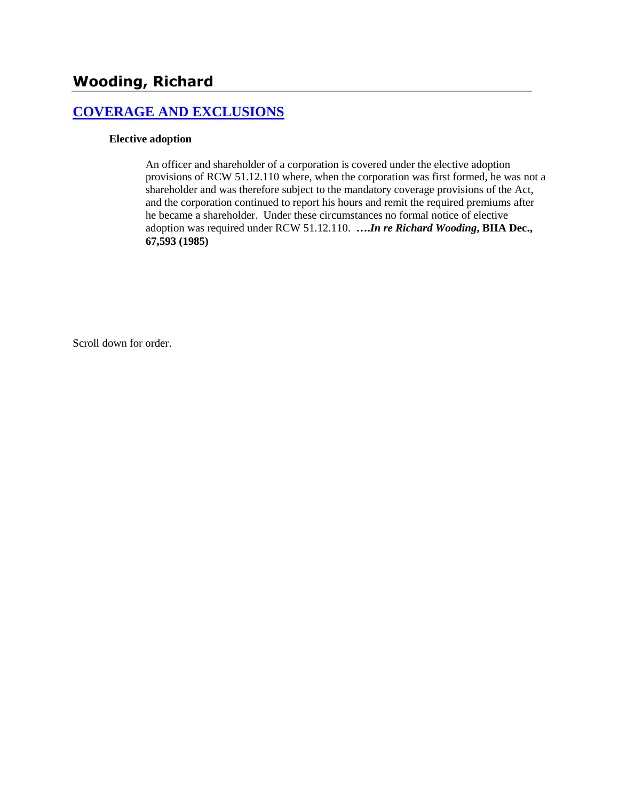#### **[COVERAGE AND EXCLUSIONS](http://www.biia.wa.gov/SDSubjectIndex.html#COVERAGE_AND_EXCLUSIONS)**

#### **Elective adoption**

An officer and shareholder of a corporation is covered under the elective adoption provisions of RCW 51.12.110 where, when the corporation was first formed, he was not a shareholder and was therefore subject to the mandatory coverage provisions of the Act, and the corporation continued to report his hours and remit the required premiums after he became a shareholder. Under these circumstances no formal notice of elective adoption was required under RCW 51.12.110. **….***In re Richard Wooding***, BIIA Dec., 67,593 (1985)**

Scroll down for order.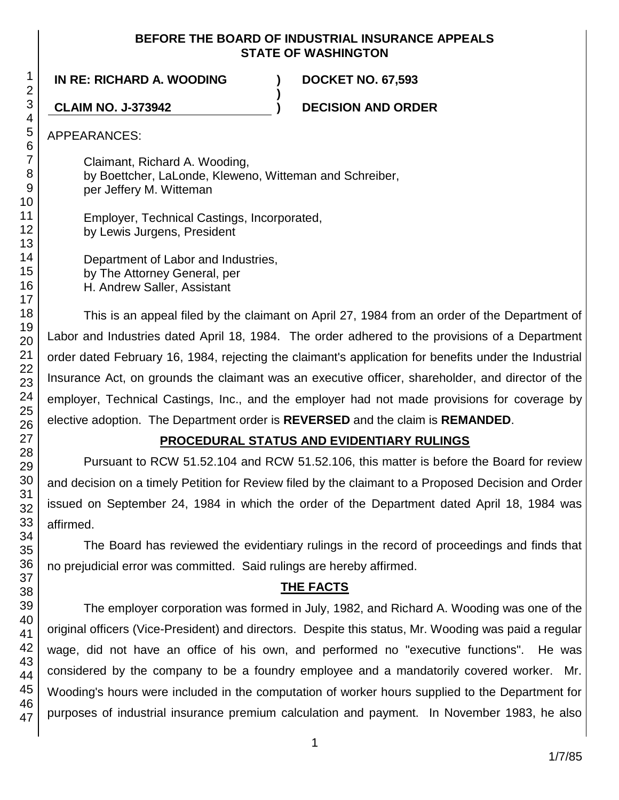#### **BEFORE THE BOARD OF INDUSTRIAL INSURANCE APPEALS STATE OF WASHINGTON**

**)**

**IN RE: RICHARD A. WOODING ) DOCKET NO. 67,593**

**CLAIM NO. J-373942 ) DECISION AND ORDER**

APPEARANCES:

Claimant, Richard A. Wooding, by Boettcher, LaLonde, Kleweno, Witteman and Schreiber, per Jeffery M. Witteman

Employer, Technical Castings, Incorporated, by Lewis Jurgens, President

Department of Labor and Industries, by The Attorney General, per H. Andrew Saller, Assistant

This is an appeal filed by the claimant on April 27, 1984 from an order of the Department of Labor and Industries dated April 18, 1984. The order adhered to the provisions of a Department order dated February 16, 1984, rejecting the claimant's application for benefits under the Industrial Insurance Act, on grounds the claimant was an executive officer, shareholder, and director of the employer, Technical Castings, Inc., and the employer had not made provisions for coverage by elective adoption. The Department order is **REVERSED** and the claim is **REMANDED**.

# **PROCEDURAL STATUS AND EVIDENTIARY RULINGS**

Pursuant to RCW 51.52.104 and RCW 51.52.106, this matter is before the Board for review and decision on a timely Petition for Review filed by the claimant to a Proposed Decision and Order issued on September 24, 1984 in which the order of the Department dated April 18, 1984 was affirmed.

The Board has reviewed the evidentiary rulings in the record of proceedings and finds that no prejudicial error was committed. Said rulings are hereby affirmed.

# **THE FACTS**

The employer corporation was formed in July, 1982, and Richard A. Wooding was one of the original officers (Vice-President) and directors. Despite this status, Mr. Wooding was paid a regular wage, did not have an office of his own, and performed no "executive functions". He was considered by the company to be a foundry employee and a mandatorily covered worker. Mr. Wooding's hours were included in the computation of worker hours supplied to the Department for purposes of industrial insurance premium calculation and payment. In November 1983, he also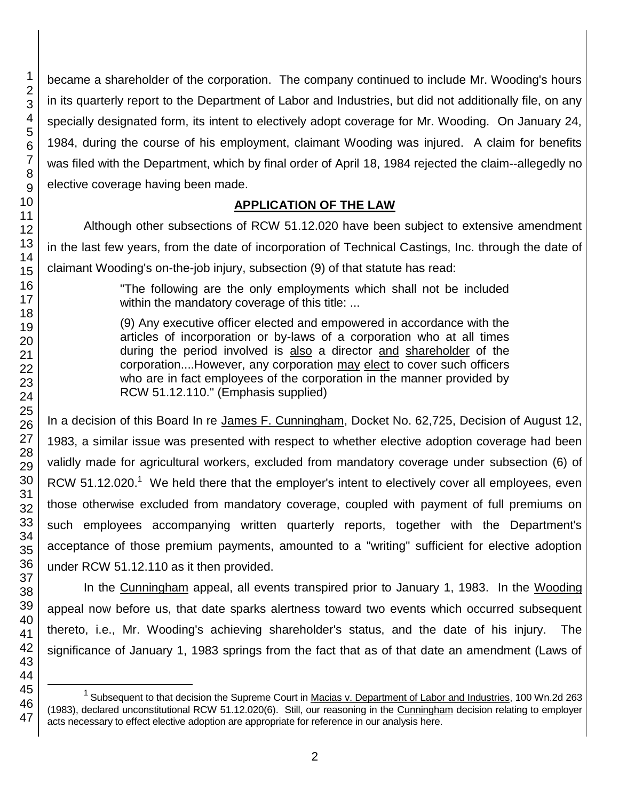became a shareholder of the corporation. The company continued to include Mr. Wooding's hours in its quarterly report to the Department of Labor and Industries, but did not additionally file, on any specially designated form, its intent to electively adopt coverage for Mr. Wooding. On January 24, 1984, during the course of his employment, claimant Wooding was injured. A claim for benefits was filed with the Department, which by final order of April 18, 1984 rejected the claim--allegedly no elective coverage having been made.

# **APPLICATION OF THE LAW**

Although other subsections of RCW 51.12.020 have been subject to extensive amendment in the last few years, from the date of incorporation of Technical Castings, Inc. through the date of claimant Wooding's on-the-job injury, subsection (9) of that statute has read:

> "The following are the only employments which shall not be included within the mandatory coverage of this title: ...

> (9) Any executive officer elected and empowered in accordance with the articles of incorporation or by-laws of a corporation who at all times during the period involved is also a director and shareholder of the corporation....However, any corporation may elect to cover such officers who are in fact employees of the corporation in the manner provided by RCW 51.12.110." (Emphasis supplied)

In a decision of this Board In re James F. Cunningham, Docket No. 62,725, Decision of August 12, 1983, a similar issue was presented with respect to whether elective adoption coverage had been validly made for agricultural workers, excluded from mandatory coverage under subsection (6) of RCW  $51.12.020<sup>1</sup>$  We held there that the employer's intent to electively cover all employees, even those otherwise excluded from mandatory coverage, coupled with payment of full premiums on such employees accompanying written quarterly reports, together with the Department's acceptance of those premium payments, amounted to a "writing" sufficient for elective adoption under RCW 51.12.110 as it then provided.

In the Cunningham appeal, all events transpired prior to January 1, 1983. In the Wooding appeal now before us, that date sparks alertness toward two events which occurred subsequent thereto, i.e., Mr. Wooding's achieving shareholder's status, and the date of his injury. The significance of January 1, 1983 springs from the fact that as of that date an amendment (Laws of

l

<sup>&</sup>lt;sup>1</sup> Subsequent to that decision the Supreme Court in Macias v. Department of Labor and Industries, 100 Wn.2d 263 (1983), declared unconstitutional RCW 51.12.020(6). Still, our reasoning in the Cunningham decision relating to employer acts necessary to effect elective adoption are appropriate for reference in our analysis here.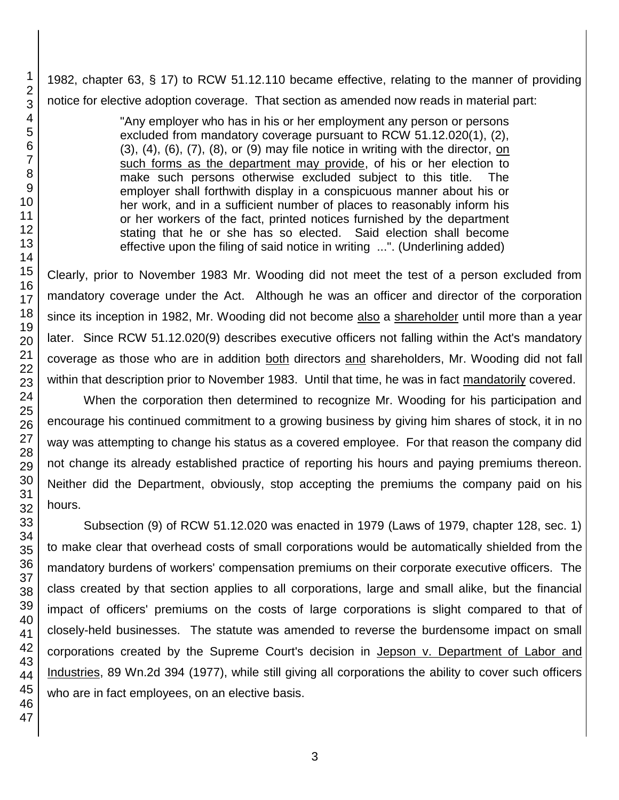1982, chapter 63, § 17) to RCW 51.12.110 became effective, relating to the manner of providing notice for elective adoption coverage. That section as amended now reads in material part:

> "Any employer who has in his or her employment any person or persons excluded from mandatory coverage pursuant to RCW 51.12.020(1), (2), (3), (4), (6), (7), (8), or (9) may file notice in writing with the director, on such forms as the department may provide, of his or her election to make such persons otherwise excluded subject to this title. The employer shall forthwith display in a conspicuous manner about his or her work, and in a sufficient number of places to reasonably inform his or her workers of the fact, printed notices furnished by the department stating that he or she has so elected. Said election shall become effective upon the filing of said notice in writing ...". (Underlining added)

Clearly, prior to November 1983 Mr. Wooding did not meet the test of a person excluded from mandatory coverage under the Act. Although he was an officer and director of the corporation since its inception in 1982, Mr. Wooding did not become also a shareholder until more than a year later. Since RCW 51.12.020(9) describes executive officers not falling within the Act's mandatory coverage as those who are in addition both directors and shareholders, Mr. Wooding did not fall within that description prior to November 1983. Until that time, he was in fact mandatorily covered.

When the corporation then determined to recognize Mr. Wooding for his participation and encourage his continued commitment to a growing business by giving him shares of stock, it in no way was attempting to change his status as a covered employee. For that reason the company did not change its already established practice of reporting his hours and paying premiums thereon. Neither did the Department, obviously, stop accepting the premiums the company paid on his hours.

Subsection (9) of RCW 51.12.020 was enacted in 1979 (Laws of 1979, chapter 128, sec. 1) to make clear that overhead costs of small corporations would be automatically shielded from the mandatory burdens of workers' compensation premiums on their corporate executive officers. The class created by that section applies to all corporations, large and small alike, but the financial impact of officers' premiums on the costs of large corporations is slight compared to that of closely-held businesses. The statute was amended to reverse the burdensome impact on small corporations created by the Supreme Court's decision in Jepson v. Department of Labor and Industries, 89 Wn.2d 394 (1977), while still giving all corporations the ability to cover such officers who are in fact employees, on an elective basis.

1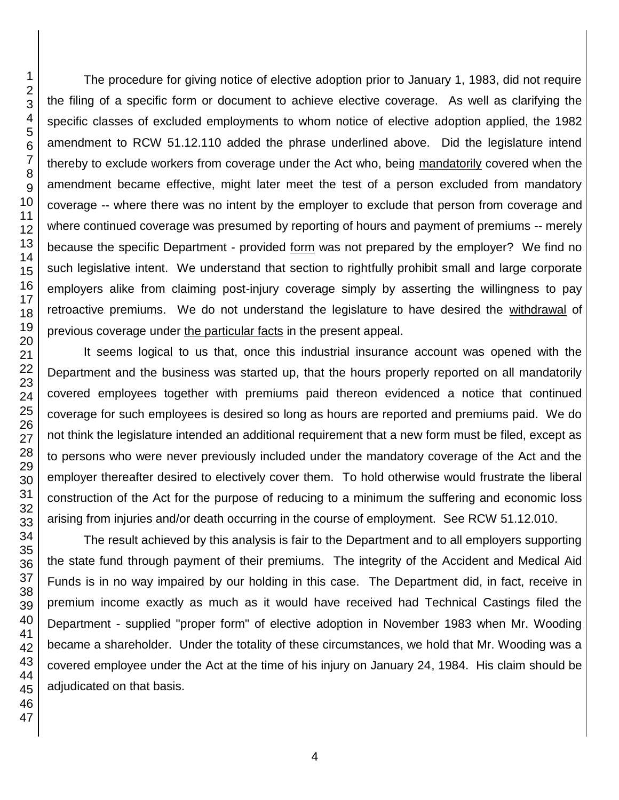The procedure for giving notice of elective adoption prior to January 1, 1983, did not require the filing of a specific form or document to achieve elective coverage. As well as clarifying the specific classes of excluded employments to whom notice of elective adoption applied, the 1982 amendment to RCW 51.12.110 added the phrase underlined above. Did the legislature intend thereby to exclude workers from coverage under the Act who, being mandatorily covered when the amendment became effective, might later meet the test of a person excluded from mandatory coverage -- where there was no intent by the employer to exclude that person from coverage and where continued coverage was presumed by reporting of hours and payment of premiums -- merely because the specific Department - provided form was not prepared by the employer? We find no such legislative intent. We understand that section to rightfully prohibit small and large corporate employers alike from claiming post-injury coverage simply by asserting the willingness to pay retroactive premiums. We do not understand the legislature to have desired the withdrawal of previous coverage under the particular facts in the present appeal.

It seems logical to us that, once this industrial insurance account was opened with the Department and the business was started up, that the hours properly reported on all mandatorily covered employees together with premiums paid thereon evidenced a notice that continued coverage for such employees is desired so long as hours are reported and premiums paid. We do not think the legislature intended an additional requirement that a new form must be filed, except as to persons who were never previously included under the mandatory coverage of the Act and the employer thereafter desired to electively cover them. To hold otherwise would frustrate the liberal construction of the Act for the purpose of reducing to a minimum the suffering and economic loss arising from injuries and/or death occurring in the course of employment. See RCW 51.12.010.

The result achieved by this analysis is fair to the Department and to all employers supporting the state fund through payment of their premiums. The integrity of the Accident and Medical Aid Funds is in no way impaired by our holding in this case. The Department did, in fact, receive in premium income exactly as much as it would have received had Technical Castings filed the Department - supplied "proper form" of elective adoption in November 1983 when Mr. Wooding became a shareholder. Under the totality of these circumstances, we hold that Mr. Wooding was a covered employee under the Act at the time of his injury on January 24, 1984. His claim should be adjudicated on that basis.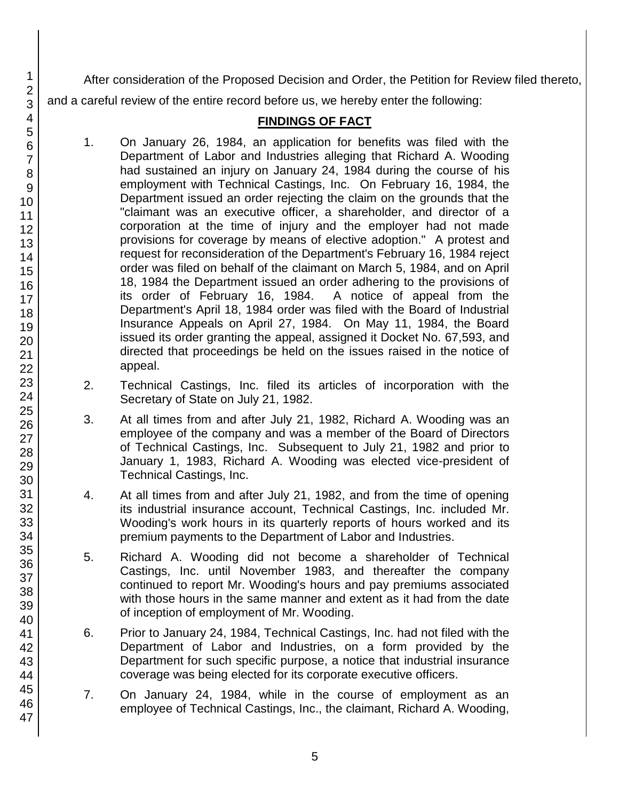After consideration of the Proposed Decision and Order, the Petition for Review filed thereto, and a careful review of the entire record before us, we hereby enter the following:

# **FINDINGS OF FACT**

- 1. On January 26, 1984, an application for benefits was filed with the Department of Labor and Industries alleging that Richard A. Wooding had sustained an injury on January 24, 1984 during the course of his employment with Technical Castings, Inc. On February 16, 1984, the Department issued an order rejecting the claim on the grounds that the "claimant was an executive officer, a shareholder, and director of a corporation at the time of injury and the employer had not made provisions for coverage by means of elective adoption." A protest and request for reconsideration of the Department's February 16, 1984 reject order was filed on behalf of the claimant on March 5, 1984, and on April 18, 1984 the Department issued an order adhering to the provisions of its order of February 16, 1984. A notice of appeal from the Department's April 18, 1984 order was filed with the Board of Industrial Insurance Appeals on April 27, 1984. On May 11, 1984, the Board issued its order granting the appeal, assigned it Docket No. 67,593, and directed that proceedings be held on the issues raised in the notice of appeal.
- 2. Technical Castings, Inc. filed its articles of incorporation with the Secretary of State on July 21, 1982.
- 3. At all times from and after July 21, 1982, Richard A. Wooding was an employee of the company and was a member of the Board of Directors of Technical Castings, Inc. Subsequent to July 21, 1982 and prior to January 1, 1983, Richard A. Wooding was elected vice-president of Technical Castings, Inc.
- 4. At all times from and after July 21, 1982, and from the time of opening its industrial insurance account, Technical Castings, Inc. included Mr. Wooding's work hours in its quarterly reports of hours worked and its premium payments to the Department of Labor and Industries.
- 5. Richard A. Wooding did not become a shareholder of Technical Castings, Inc. until November 1983, and thereafter the company continued to report Mr. Wooding's hours and pay premiums associated with those hours in the same manner and extent as it had from the date of inception of employment of Mr. Wooding.
- 6. Prior to January 24, 1984, Technical Castings, Inc. had not filed with the Department of Labor and Industries, on a form provided by the Department for such specific purpose, a notice that industrial insurance coverage was being elected for its corporate executive officers.
- 7. On January 24, 1984, while in the course of employment as an employee of Technical Castings, Inc., the claimant, Richard A. Wooding,

46 47